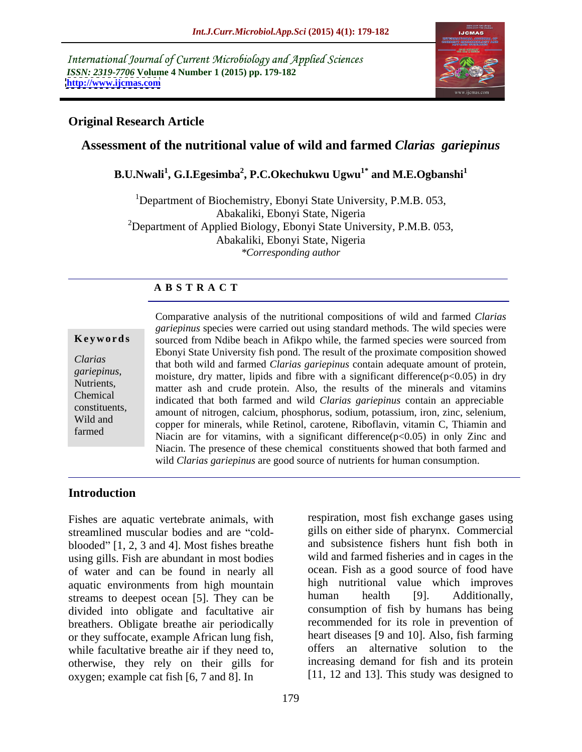International Journal of Current Microbiology and Applied Sciences *ISSN: 2319-7706* **Volume 4 Number 1 (2015) pp. 179-182 <http://www.ijcmas.com>**



### **Original Research Article**

# **Assessment of the nutritional value of wild and farmed** *Clarias gariepinus*

### **B.U.Nwali<sup>1</sup> , G.I.Egesimba<sup>2</sup> , P.C.Okechukwu Ugwu1\* and M.E.Ogbanshi<sup>1</sup>**

<sup>1</sup>Department of Biochemistry, Ebonyi State University, P.M.B. 053, Abakaliki, Ebonyi State, Nigeria <sup>2</sup>Department of Applied Biology, Ebonyi State University, P.M.B. 053, Abakaliki, Ebonyi State, Nigeria *\*Corresponding author* 

### **A B S T R A C T**

farmed

Comparative analysis of the nutritional compositions of wild and farmed *Clarias gariepinus* species were carried out using standard methods. The wild species were sourced from Ndibe beach in Afikpo while, the farmed species were sourced from Ebonyi State University fish pond. The result of the proximate composition showed that both wild and farmed *Clarias gariepinus* contain adequate amount of protein, *Clarias*  gariepinus,<br>
moisture, dry matter, lipids and fibre with a significant difference(p<0.05) in dry<br> *Nutrients*,<br> *gariepinus*,<br> *gariepinus*,<br> *gariepinus*, matter ash and crude protein. Also, the results of the minerals and vitamins indicated that both farmed and wild *Clarias gariepinus* contain an appreciable Chemical constituents,<br>amount of nitrogen, calcium, phosphorus, sodium, potassium, iron, zinc, selenium, Wild and copper for minerals, while Retinol, carotene, Riboflavin, vitamin C, Thiamin and Niacin are for vitamins, with a significant difference( $p<0.05$ ) in only Zinc and Niacin. The presence of these chemical constituents showed that both farmed and **Example 18**<br> **Keywords**<br>
Sourced from Ndibe beach in Afikpo while, the farmed species were sourced from<br>
Clarias gariepinus,<br>
that both wild and farmed Clarias gariepinus contain adequate amount of protein,<br>
moisture, dr

### **Introduction**

Fishes are aquatic vertebrate animals, with streamlined muscular bodies and are "coldblooded"  $[1, 2, 3 \text{ and } 4]$ . Most fishes breathe using gills. Fish are abundant in most bodies of water and can be found in nearly all aquatic environments from high mountain high nutritional value which improves streams to deepest ocean [5]. They can be human health [9]. Additionally, streams to deepest ocean [5]. They can be divided into obligate and facultative air breathers. Obligate breathe air periodically or they suffocate, example African lung fish, while facultative breathe air if they need to, otherwise, they rely on their gills for oxygen; example cat fish [6, 7 and 8]. In

respiration, most fish exchange gases using gills on either side of pharynx. Commercial and subsistence fishers hunt fish both in wild and farmed fisheries and in cages in the ocean. Fish as a good source of food have high nutritional value which improves human health [9]. Additionally, consumption of fish by humans has being recommended for its role in prevention of heart diseases [9 and 10]. Also, fish farming offers an alternative solution to the increasing demand for fish and its protein [11, 12 and 13]. This study was designed to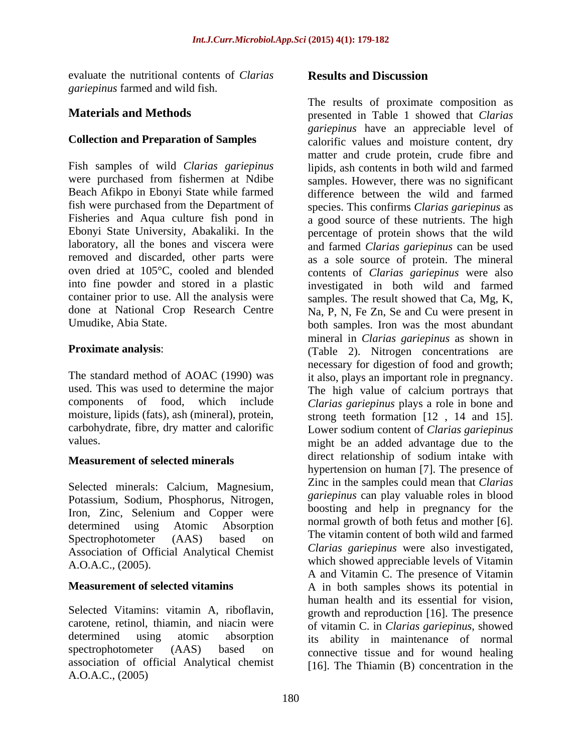evaluate the nutritional contents of *Clarias gariepinus* farmed and wild fish.

container prior to use. All the analysis were

carbohydrate, fibre, dry matter and calorific

### **Measurement of selected minerals**

Selected minerals: Calcium, Magnesium, Potassium, Sodium, Phosphorus, Nitrogen, Iron, Zinc, Selenium and Copper were Association of Official Analytical Chemist

Selected Vitamins: vitamin A, riboflavin, association of official Analytical chemist A.O.A.C., (2005)

## **Results and Discussion**

**Materials and Methods** presented in Table 1 showed that *Clarias*  **Collection and Preparation of Samples** calorific values and moisture content, dry Fish samples of wild *Clarias gariepinus* lipids, ash contents in both wild and farmed were purchased from fishermen at Ndibe samples. However, there was no significant Beach Afikpo in Ebonyi State while farmed difference between the wild and farmed fish were purchased from the Department of species. This confirms *Clarias gariepinus* as Fisheries and Aqua culture fish pond in a good source of these nutrients. The high Ebonyi State University, Abakaliki. In the percentage of protein shows that the wild laboratory, all the bones and viscera were and farmed *Clarias gariepinus* can be used removed and discarded, other parts were as a sole source of protein. The mineral oven dried at 105°C, cooled and blended contents of *Clarias gariepinus* were also into fine powder and stored in a plastic investigated in both wild and farmed done at National Crop Research Centre Na, P, N, Fe Zn, Se and Cu were present in Umudike, Abia State. both samples. Iron was the most abundant **Proximate analysis:** (Table 2). Nitrogen concentrations are The standard method of AOAC (1990) was it also, plays an important role in pregnancy. used. This was used to determine the major The high value of calcium portrays that components of food, which include *Clarias gariepinus* plays a role in bone and moisture, lipids (fats), ash (mineral), protein, strong teeth formation [12 , 14 and 15]. values. might be an added advantage due to the determined using Atomic Absorption mormal growth of both letters and mother [0]. Spectrophotometer (AAS) based on the vitamin content of both wild and farmed which showed appreciable levels of Vitamin A.O.A.C., (2005). **Measurement of selected vitamins** A in both samples shows its potential in carotene, retinol, thiamin, and niacin were of vitamin C. in *Clarias gariepinus*, showed determined using atomic absorption its ability in maintenance of normal spectrophotometer (AAS) based on connective tissue and for wound healing The results of proximate composition as *gariepinus* have an appreciable level of matter and crude protein, crude fibre and samples. The result showed that Ca, Mg, K, mineral in *Clarias gariepinus* as shown in necessary for digestion of food and growth; Lower sodium content of *Clarias gariepinus* direct relationship of sodium intake with hypertension on human [7]. The presence of Zinc in the samples could mean that *Clarias gariepinus* can play valuable roles in blood boosting and help in pregnancy for the normal growth of both fetus and mother [6]. The vitamin content of both wild and farmed *Clarias gariepinus* were also investigated, A and Vitamin C. The presence of Vitamin human health and its essential for vision, growth and reproduction [16]. The presence [16]. The Thiamin (B) concentration in the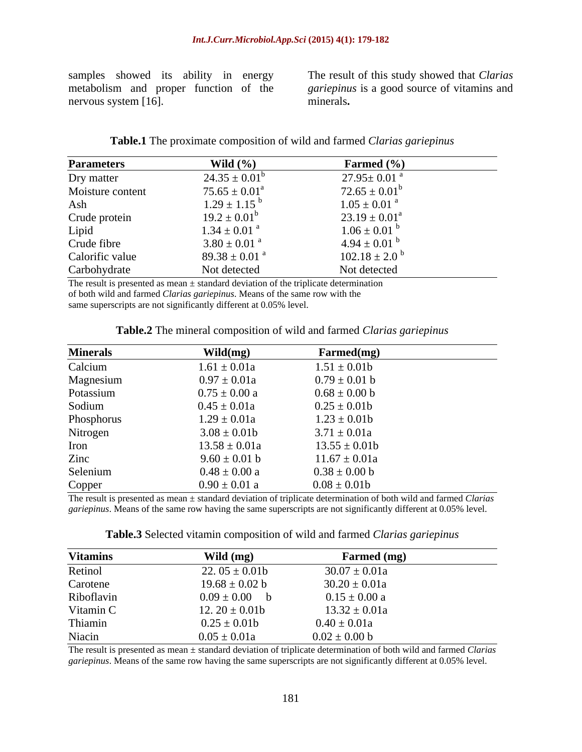nervous system [16]. minerals.

samples showed its ability in energy The result of this study showed that *Clarias*  metabolism and proper function of the *gariepinus* is a good source of vitamins and minerals**.**

| <b>Table.1</b> The proximate composition of wild and farmed Clarias go | gariepinus |  |  |
|------------------------------------------------------------------------|------------|--|--|
|                                                                        |            |  |  |

| <b>Parameters</b> | Wild $(\% )$                  | Farmed (%)                    |
|-------------------|-------------------------------|-------------------------------|
| Dry matter        | $24.35 \pm 0.01^b$            | $27.95 \pm 0.01$ <sup>a</sup> |
| Moisture content  | $75.65 \pm 0.01^a$            | $72.65 \pm 0.01^b$            |
| Ash               | $1.29 \pm 1.15^{b}$           | $1.05 \pm 0.01$ <sup>a</sup>  |
| Crude protein     | $19.2 \pm 0.01^b$             | $23.19 \pm 0.01^a$            |
| Lipid             | $1.34 \pm 0.01$ <sup>a</sup>  | $1.06 \pm 0.01$ <sup>b</sup>  |
| Crude fibre       | $3.80 \pm 0.01$ <sup>a</sup>  | $4.94 \pm 0.01$ <sup>b</sup>  |
| Calorific value   | $89.38 \pm 0.01$ <sup>a</sup> | $102.18 \pm 2.0^{\circ}$      |
| Carbohydrate      | Not detected                  | Not detected                  |

The result is presented as mean  $\pm$  standard deviation of the triplicate determination of both wild and farmed *Clarias gariepinus*. Means of the same row with the same superscripts are not significantly different at 0.05% level.

| <b>Minerals</b> | $\text{Wild}(mg)$ | Farmed(mg)        |
|-----------------|-------------------|-------------------|
| Calcium         | $1.61 \pm 0.01a$  | $1.51 \pm 0.01b$  |
| Magnesium       | $0.97 \pm 0.01a$  | $0.79 \pm 0.01$ b |
| Potassium       | $0.75 \pm 0.00$ a | $0.68 \pm 0.00$ b |
| Sodium          | $0.45 \pm 0.01a$  | $0.25 \pm 0.01$   |
| Phosphorus      | $1.29 \pm 0.01a$  | $1.23 \pm 0.01b$  |
| Nitrogen        | $3.08 \pm 0.01$ b | $3.71 \pm 0.01a$  |
| Iron            | $13.58 \pm 0.01a$ | $13.55 \pm 0.01b$ |
| Zinc            | $9.60 \pm 0.01$ b | $11.67 \pm 0.01a$ |
| Selenium        | $0.48 \pm 0.00 a$ | $0.38 \pm 0.00$ b |
| Copper          | $0.90 \pm 0.01$ a | $0.08 \pm 0.01$   |

| Table.2 The mineral composition of wild and farmed Clarias gariepinus |  |  |
|-----------------------------------------------------------------------|--|--|
|                                                                       |  |  |

The result is presented as mean ± standard deviation of triplicate determination of both wild and farmed *Clarias gariepinus*. Means of the same row having the same superscripts are not significantly different at 0.05% level.

| <b>Table.3</b> Selected vitamin composition of wild and<br>gariepinus<br>ıd farmed<br>Clarias |  |
|-----------------------------------------------------------------------------------------------|--|
|-----------------------------------------------------------------------------------------------|--|

| <b>Vitamins</b> | Wild (mg)          | Farmed (mg)       |
|-----------------|--------------------|-------------------|
| Retinol         | 22. $05 \pm 0.01b$ | $30.07 \pm 0.01a$ |
| Carotene        | $19.68 \pm 0.02$ b | $30.20 \pm 0.01a$ |
| Riboflavin      | $0.09 \pm 0.00$ b  | $0.15 \pm 0.00 a$ |
| Vitamin C       | 12. $20 \pm 0.01$  | $13.32 \pm 0.01a$ |
| Thiamin         | $0.25 \pm 0.01$ b  | $0.40 \pm 0.01a$  |
| Niacin          | $0.05 \pm 0.01a$   | $0.02 \pm 0.00$ b |

The result is presented as mean ± standard deviation of triplicate determination of both wild and farmed *Clarias gariepinus*. Means of the same row having the same superscripts are not significantly different at 0.05% level.